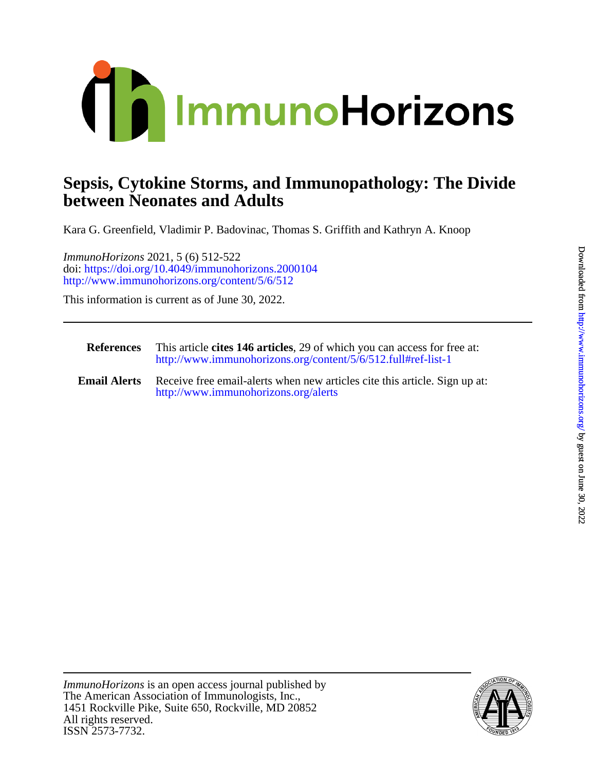

## **between Neonates and Adults Sepsis, Cytokine Storms, and Immunopathology: The Divide**

Kara G. Greenfield, Vladimir P. Badovinac, Thomas S. Griffith and Kathryn A. Knoop

<http://www.immunohorizons.org/content/5/6/512> doi:<https://doi.org/10.4049/immunohorizons.2000104> *ImmunoHorizons* 2021, 5 (6) 512-522

This information is current as of June 30, 2022.

| <b>References</b>   | This article cites 146 articles, 29 of which you can access for free at:<br>http://www.immunohorizons.org/content/5/6/512.full#ref-list-1 |
|---------------------|-------------------------------------------------------------------------------------------------------------------------------------------|
| <b>Email Alerts</b> | Receive free email-alerts when new articles cite this article. Sign up at:<br>http://www.immunohorizons.org/alerts                        |

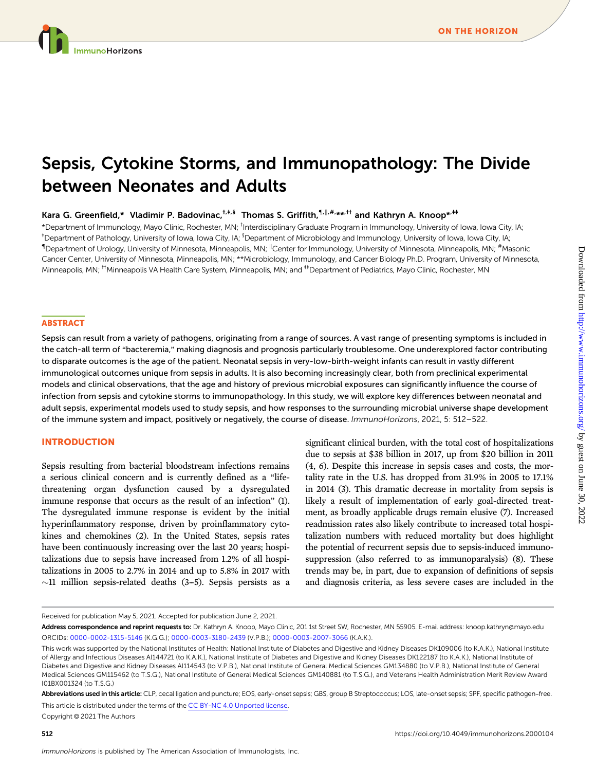# Sepsis, Cytokine Storms, and Immunopathology: The Divide between Neonates and Adults

[Kara G. Greenfield](http://orcid.org/0000-0002-1315-5146),\* [Vladimir P. Badovinac](http://orcid.org/0000-0003-3180-2439),<sup>†,‡,§</sup> Thomas S. Griffith,<sup>¶,||,#,</sup>\*\*<sup>,††</sup> and [Kathryn A. Knoop\\*](http://orcid.org/0000-0003-2007-3066)<sup>,††</sup>

\*Department of Immunology, Mayo Clinic, Rochester, MN; <sup>†</sup>Interdisciplinary Graduate Program in Immunology, University of Iowa, Iowa City, IA; <sup>‡</sup>Department of Pathology, University of Iowa, Iowa City, IA; <sup>§</sup>Department of Microbiology and Immunology, University of Iowa, Iowa City, IA;  $\P$ Department of Urology, University of Minnesota, Minneapolis, MN;  $^\|$ Center for Immunology, University of Minnesota, Minneapolis, MN;  $^{\#}$ Masonic Cancer Center, University of Minnesota, Minneapolis, MN; \*\*Microbiology, Immunology, and Cancer Biology Ph.D. Program, University of Minnesota, Minneapolis, MN; <sup>††</sup>Minneapolis VA Health Care System, Minneapolis, MN; and <sup>‡‡</sup>Department of Pediatrics, Mayo Clinic, Rochester, MN

## **ABSTRACT**

Sepsis can result from a variety of pathogens, originating from a range of sources. A vast range of presenting symptoms is included in the catch-all term of "bacteremia," making diagnosis and prognosis particularly troublesome. One underexplored factor contributing to disparate outcomes is the age of the patient. Neonatal sepsis in very-low-birth-weight infants can result in vastly different immunological outcomes unique from sepsis in adults. It is also becoming increasingly clear, both from preclinical experimental models and clinical observations, that the age and history of previous microbial exposures can significantly influence the course of infection from sepsis and cytokine storms to immunopathology. In this study, we will explore key differences between neonatal and adult sepsis, experimental models used to study sepsis, and how responses to the surrounding microbial universe shape development of the immune system and impact, positively or negatively, the course of disease. ImmunoHorizons, 2021, 5: 512–522.

#### INTRODUCTION

Sepsis resulting from bacterial bloodstream infections remains a serious clinical concern and is currently defined as a "lifethreatening organ dysfunction caused by a dysregulated immune response that occurs as the result of an infection" (1). The dysregulated immune response is evident by the initial hyperinflammatory response, driven by proinflammatory cytokines and chemokines (2). In the United States, sepsis rates have been continuously increasing over the last 20 years; hospitalizations due to sepsis have increased from 1.2% of all hospitalizations in 2005 to 2.7% in 2014 and up to 5.8% in 2017 with  $\sim$ 11 million sepsis-related deaths (3–5). Sepsis persists as a

significant clinical burden, with the total cost of hospitalizations due to sepsis at \$38 billion in 2017, up from \$20 billion in 2011 (4, 6). Despite this increase in sepsis cases and costs, the mortality rate in the U.S. has dropped from 31.9% in 2005 to 17.1% in 2014 (3). This dramatic decrease in mortality from sepsis is likely a result of implementation of early goal-directed treatment, as broadly applicable drugs remain elusive (7). Increased readmission rates also likely contribute to increased total hospitalization numbers with reduced mortality but does highlight the potential of recurrent sepsis due to sepsis-induced immunosuppression (also referred to as immunoparalysis) (8). These trends may be, in part, due to expansion of definitions of sepsis and diagnosis criteria, as less severe cases are included in the

Received for publication May 5, 2021. Accepted for publication June 2, 2021.

Address correspondence and reprint requests to: Dr. Kathryn A. Knoop, Mayo Clinic, 201 1st Street SW, Rochester, MN 55905. E-mail address: [knoop.kathryn@mayo.edu](mailto:knoop.kathryn@mayo.edu) ORCIDs: [0000-0002-1315-5146](http://orcid.org/0000-0002-1315-5146) (K.G.G.); [0000-0003-3180-2439](http://orcid.org/0000-0003-3180-2439) (V.P.B.); [0000-0003-2007-3066](http://orcid.org/0000-0003-2007-3066) (K.A.K.).

This work was supported by the National Institutes of Health: National Institute of Diabetes and Digestive and Kidney Diseases DK109006 (to K.A.K.), National Institute of Allergy and Infectious Diseases AI144721 (to K.A.K.), National Institute of Diabetes and Digestive and Kidney Diseases DK122187 (to K.A.K.), National Institute of Diabetes and Digestive and Kidney Diseases AI114543 (to V.P.B.), National Institute of General Medical Sciences GM134880 (to V.P.B.), National Institute of General Medical Sciences GM115462 (to T.S.G.), National Institute of General Medical Sciences GM140881 (to T.S.G.), and Veterans Health Administration Merit Review Award I01BX001324 (to T.S.G.)

Abbreviations used in this article: CLP, cecal ligation and puncture; EOS, early-onset sepsis; GBS, group B Streptococcus; LOS, late-onset sepsis; SPF, specific pathogen-free.

This article is distributed under the terms of the [CC BY-NC 4.0 Unported license](https://creativecommons.org/licenses/by-nc/4.0/). Copyright © 2021 The Authors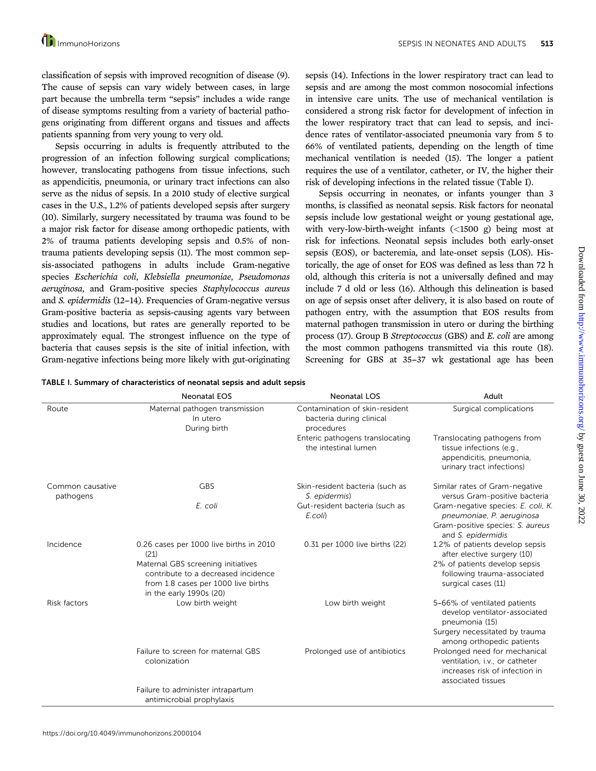classification of sepsis with improved recognition of disease (9). The cause of sepsis can vary widely between cases, in large part because the umbrella term "sepsis" includes a wide range of disease symptoms resulting from a variety of bacterial pathogens originating from different organs and tissues and affects patients spanning from very young to very old.

Sepsis occurring in adults is frequently attributed to the progression of an infection following surgical complications; however, translocating pathogens from tissue infections, such as appendicitis, pneumonia, or urinary tract infections can also serve as the nidus of sepsis. In a 2010 study of elective surgical cases in the U.S., 1.2% of patients developed sepsis after surgery (10). Similarly, surgery necessitated by trauma was found to be a major risk factor for disease among orthopedic patients, with 2% of trauma patients developing sepsis and 0.5% of nontrauma patients developing sepsis (11). The most common sepsis-associated pathogens in adults include Gram-negative species Escherichia coli, Klebsiella pneumoniae, Pseudomonas aeruginosa, and Gram-positive species Staphylococcus aureus and S. epidermidis (12-14). Frequencies of Gram-negative versus Gram-positive bacteria as sepsis-causing agents vary between studies and locations, but rates are generally reported to be approximately equal. The strongest influence on the type of bacteria that causes sepsis is the site of initial infection, with Gram-negative infections being more likely with gut-originating sepsis (14). Infections in the lower respiratory tract can lead to sepsis and are among the most common nosocomial infections in intensive care units. The use of mechanical ventilation is considered a strong risk factor for development of infection in the lower respiratory tract that can lead to sepsis, and incidence rates of ventilator-associated pneumonia vary from 5 to 66% of ventilated patients, depending on the length of time mechanical ventilation is needed (15). The longer a patient requires the use of a ventilator, catheter, or IV, the higher their risk of developing infections in the related tissue (Table I).

Sepsis occurring in neonates, or infants younger than 3 months, is classified as neonatal sepsis. Risk factors for neonatal sepsis include low gestational weight or young gestational age, with very-low-birth-weight infants (<1500 g) being most at risk for infections. Neonatal sepsis includes both early-onset sepsis (EOS), or bacteremia, and late-onset sepsis (LOS). Historically, the age of onset for EOS was defined as less than 72 h old, although this criteria is not a universally defined and may include 7 d old or less (16). Although this delineation is based on age of sepsis onset after delivery, it is also based on route of pathogen entry, with the assumption that EOS results from maternal pathogen transmission in utero or during the birthing process (17). Group B Streptococcus (GBS) and E. coli are among the most common pathogens transmitted via this route (18). Screening for GBS at 35-37 wk gestational age has been

| TABLE I. Summary of characteristics of neonatal sepsis and adult sepsis |  |  |  |  |  |  |
|-------------------------------------------------------------------------|--|--|--|--|--|--|
|-------------------------------------------------------------------------|--|--|--|--|--|--|

|                               | <b>Neonatal EOS</b>                                                                                                                         | <b>Neonatal LOS</b>                                                      | Adult                                                                                                                   |
|-------------------------------|---------------------------------------------------------------------------------------------------------------------------------------------|--------------------------------------------------------------------------|-------------------------------------------------------------------------------------------------------------------------|
| Route                         | Maternal pathogen transmission<br>In utero<br>During birth                                                                                  | Contamination of skin-resident<br>bacteria during clinical<br>procedures | Surgical complications                                                                                                  |
|                               |                                                                                                                                             | Enteric pathogens translocating<br>the intestinal lumen                  | Translocating pathogens from<br>tissue infections (e.g.,<br>appendicitis, pneumonia,<br>urinary tract infections)       |
| Common causative<br>pathogens | <b>GBS</b>                                                                                                                                  | Skin-resident bacteria (such as<br>S. epidermis)                         | Similar rates of Gram-negative<br>versus Gram-positive bacteria                                                         |
|                               | E. coli                                                                                                                                     | Gut-resident bacteria (such as<br>E.coli)                                | Gram-negative species: E. coli, K.<br>pneumoniae, P. aeruginosa                                                         |
|                               |                                                                                                                                             |                                                                          | Gram-positive species: S. aureus<br>and S. epidermidis                                                                  |
| Incidence                     | 0.26 cases per 1000 live births in 2010<br>(21)                                                                                             | 0.31 per 1000 live births (22)                                           | 1.2% of patients develop sepsis<br>after elective surgery (10)                                                          |
|                               | Maternal GBS screening initiatives<br>contribute to a decreased incidence<br>from 1.8 cases per 1000 live births<br>in the early 1990s (20) |                                                                          | 2% of patients develop sepsis<br>following trauma-associated<br>surgical cases (11)                                     |
| Risk factors                  | Low birth weight                                                                                                                            | Low birth weight                                                         | 5-66% of ventilated patients<br>develop ventilator-associated<br>pneumonia (15)                                         |
|                               |                                                                                                                                             |                                                                          | Surgery necessitated by trauma<br>among orthopedic patients                                                             |
|                               | Failure to screen for maternal GBS<br>colonization                                                                                          | Prolonged use of antibiotics                                             | Prolonged need for mechanical<br>ventilation, i.v., or catheter<br>increases risk of infection in<br>associated tissues |
|                               | Failure to administer intrapartum<br>antimicrobial prophylaxis                                                                              |                                                                          |                                                                                                                         |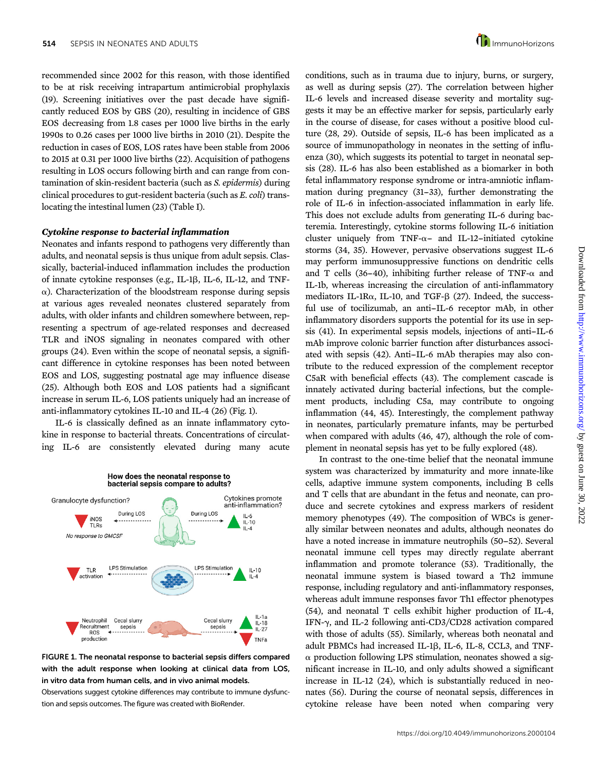recommended since 2002 for this reason, with those identified to be at risk receiving intrapartum antimicrobial prophylaxis (19). Screening initiatives over the past decade have significantly reduced EOS by GBS (20), resulting in incidence of GBS EOS decreasing from 1.8 cases per 1000 live births in the early 1990s to 0.26 cases per 1000 live births in 2010 (21). Despite the reduction in cases of EOS, LOS rates have been stable from 2006 to 2015 at 0.31 per 1000 live births (22). Acquisition of pathogens resulting in LOS occurs following birth and can range from contamination of skin-resident bacteria (such as S. epidermis) during clinical procedures to gut-resident bacteria (such as E. coli) translocating the intestinal lumen (23) (Table I).

## Cytokine response to bacterial inflammation

Neonates and infants respond to pathogens very differently than adults, and neonatal sepsis is thus unique from adult sepsis. Classically, bacterial-induced inflammation includes the production of innate cytokine responses (e.g., IL-1 $\beta$ , IL-6, IL-12, and TNF- $\alpha$ ). Characterization of the bloodstream response during sepsis at various ages revealed neonates clustered separately from adults, with older infants and children somewhere between, representing a spectrum of age-related responses and decreased TLR and iNOS signaling in neonates compared with other groups (24). Even within the scope of neonatal sepsis, a significant difference in cytokine responses has been noted between EOS and LOS, suggesting postnatal age may influence disease (25). Although both EOS and LOS patients had a significant increase in serum IL-6, LOS patients uniquely had an increase of anti-inflammatory cytokines IL-10 and IL-4 (26) (Fig. 1).

IL-6 is classically defined as an innate inflammatory cytokine in response to bacterial threats. Concentrations of circulating IL-6 are consistently elevated during many acute







Observations suggest cytokine differences may contribute to immune dysfunction and sepsis outcomes. The figure was created with BioRender.

conditions, such as in trauma due to injury, burns, or surgery, as well as during sepsis (27). The correlation between higher IL-6 levels and increased disease severity and mortality suggests it may be an effective marker for sepsis, particularly early in the course of disease, for cases without a positive blood culture (28, 29). Outside of sepsis, IL-6 has been implicated as a source of immunopathology in neonates in the setting of influenza (30), which suggests its potential to target in neonatal sepsis (28). IL-6 has also been established as a biomarker in both fetal inflammatory response syndrome or intra-amniotic inflammation during pregnancy (31–33), further demonstrating the role of IL-6 in infection-associated inflammation in early life. This does not exclude adults from generating IL-6 during bacteremia. Interestingly, cytokine storms following IL-6 initiation cluster uniquely from TNF- $\alpha$ - and IL-12-initiated cytokine storms (34, 35). However, pervasive observations suggest IL-6 may perform immunosuppressive functions on dendritic cells and T cells (36-40), inhibiting further release of TNF- $\alpha$  and IL-1b, whereas increasing the circulation of anti-inflammatory mediators IL-1R $\alpha$ , IL-10, and TGF- $\beta$  (27). Indeed, the successful use of tocilizumab, an anti-IL-6 receptor mAb, in other inflammatory disorders supports the potential for its use in sepsis (41). In experimental sepsis models, injections of anti-IL-6 mAb improve colonic barrier function after disturbances associated with sepsis (42). Anti-IL-6 mAb therapies may also contribute to the reduced expression of the complement receptor C5aR with beneficial effects (43). The complement cascade is innately activated during bacterial infections, but the complement products, including C5a, may contribute to ongoing inflammation (44, 45). Interestingly, the complement pathway in neonates, particularly premature infants, may be perturbed when compared with adults (46, 47), although the role of complement in neonatal sepsis has yet to be fully explored (48).

In contrast to the one-time belief that the neonatal immune system was characterized by immaturity and more innate-like cells, adaptive immune system components, including B cells and T cells that are abundant in the fetus and neonate, can produce and secrete cytokines and express markers of resident memory phenotypes (49). The composition of WBCs is generally similar between neonates and adults, although neonates do have a noted increase in immature neutrophils (50–52). Several neonatal immune cell types may directly regulate aberrant inflammation and promote tolerance (53). Traditionally, the neonatal immune system is biased toward a Th2 immune response, including regulatory and anti-inflammatory responses, whereas adult immune responses favor Th1 effector phenotypes (54), and neonatal T cells exhibit higher production of IL-4, IFN- $\gamma$ , and IL-2 following anti-CD3/CD28 activation compared with those of adults (55). Similarly, whereas both neonatal and adult PBMCs had increased IL-1 $\beta$ , IL-6, IL-8, CCL3, and TNF- $\alpha$  production following LPS stimulation, neonates showed a significant increase in IL-10, and only adults showed a significant increase in IL-12 (24), which is substantially reduced in neonates (56). During the course of neonatal sepsis, differences in cytokine release have been noted when comparing very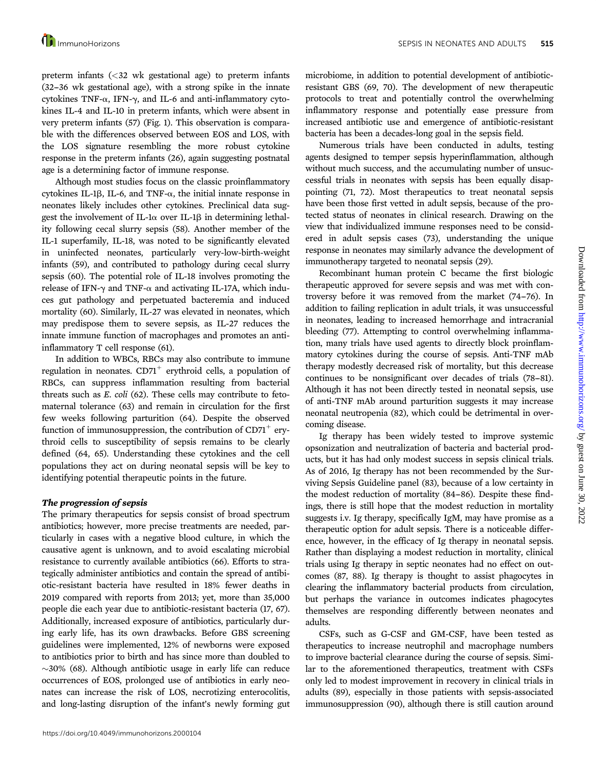preterm infants (<32 wk gestational age) to preterm infants (32--36 wk gestational age), with a strong spike in the innate cytokines TNF- $\alpha$ , IFN- $\gamma$ , and IL-6 and anti-inflammatory cytokines IL-4 and IL-10 in preterm infants, which were absent in very preterm infants (57) (Fig. 1). This observation is comparable with the differences observed between EOS and LOS, with the LOS signature resembling the more robust cytokine response in the preterm infants (26), again suggesting postnatal age is a determining factor of immune response.

Although most studies focus on the classic proinflammatory cytokines IL-1 $\beta$ , IL-6, and TNF- $\alpha$ , the initial innate response in neonates likely includes other cytokines. Preclinical data suggest the involvement of IL-1 $\alpha$  over IL-1 $\beta$  in determining lethality following cecal slurry sepsis (58). Another member of the IL-1 superfamily, IL-18, was noted to be significantly elevated in uninfected neonates, particularly very-low-birth-weight infants (59), and contributed to pathology during cecal slurry sepsis (60). The potential role of IL-18 involves promoting the release of IFN- $\gamma$  and TNF- $\alpha$  and activating IL-17A, which induces gut pathology and perpetuated bacteremia and induced mortality (60). Similarly, IL-27 was elevated in neonates, which may predispose them to severe sepsis, as IL-27 reduces the innate immune function of macrophages and promotes an antiinflammatory T cell response (61).

In addition to WBCs, RBCs may also contribute to immune regulation in neonates.  $CD71^+$  erythroid cells, a population of RBCs, can suppress inflammation resulting from bacterial threats such as E. coli (62). These cells may contribute to fetomaternal tolerance (63) and remain in circulation for the first few weeks following parturition (64). Despite the observed function of immunosuppression, the contribution of  $CD71^+$  erythroid cells to susceptibility of sepsis remains to be clearly defined (64, 65). Understanding these cytokines and the cell populations they act on during neonatal sepsis will be key to identifying potential therapeutic points in the future.

## The progression of sepsis

The primary therapeutics for sepsis consist of broad spectrum antibiotics; however, more precise treatments are needed, particularly in cases with a negative blood culture, in which the causative agent is unknown, and to avoid escalating microbial resistance to currently available antibiotics (66). Efforts to strategically administer antibiotics and contain the spread of antibiotic-resistant bacteria have resulted in 18% fewer deaths in 2019 compared with reports from 2013; yet, more than 35,000 people die each year due to antibiotic-resistant bacteria (17, 67). Additionally, increased exposure of antibiotics, particularly during early life, has its own drawbacks. Before GBS screening guidelines were implemented, 12% of newborns were exposed to antibiotics prior to birth and has since more than doubled to  $\sim$ 30% (68). Although antibiotic usage in early life can reduce occurrences of EOS, prolonged use of antibiotics in early neonates can increase the risk of LOS, necrotizing enterocolitis, and long-lasting disruption of the infant's newly forming gut

microbiome, in addition to potential development of antibioticresistant GBS (69, 70). The development of new therapeutic protocols to treat and potentially control the overwhelming inflammatory response and potentially ease pressure from increased antibiotic use and emergence of antibiotic-resistant bacteria has been a decades-long goal in the sepsis field.

Numerous trials have been conducted in adults, testing agents designed to temper sepsis hyperinflammation, although without much success, and the accumulating number of unsuccessful trials in neonates with sepsis has been equally disappointing (71, 72). Most therapeutics to treat neonatal sepsis have been those first vetted in adult sepsis, because of the protected status of neonates in clinical research. Drawing on the view that individualized immune responses need to be considered in adult sepsis cases (73), understanding the unique response in neonates may similarly advance the development of immunotherapy targeted to neonatal sepsis (29).

Recombinant human protein C became the first biologic therapeutic approved for severe sepsis and was met with controversy before it was removed from the market (74-76). In addition to failing replication in adult trials, it was unsuccessful in neonates, leading to increased hemorrhage and intracranial bleeding (77). Attempting to control overwhelming inflammation, many trials have used agents to directly block proinflammatory cytokines during the course of sepsis. Anti-TNF mAb therapy modestly decreased risk of mortality, but this decrease continues to be nonsignificant over decades of trials (78–81). Although it has not been directly tested in neonatal sepsis, use of anti-TNF mAb around parturition suggests it may increase neonatal neutropenia (82), which could be detrimental in overcoming disease.

Ig therapy has been widely tested to improve systemic opsonization and neutralization of bacteria and bacterial products, but it has had only modest success in sepsis clinical trials. As of 2016, Ig therapy has not been recommended by the Surviving Sepsis Guideline panel (83), because of a low certainty in the modest reduction of mortality (84–86). Despite these findings, there is still hope that the modest reduction in mortality suggests i.v. Ig therapy, specifically IgM, may have promise as a therapeutic option for adult sepsis. There is a noticeable difference, however, in the efficacy of Ig therapy in neonatal sepsis. Rather than displaying a modest reduction in mortality, clinical trials using Ig therapy in septic neonates had no effect on outcomes (87, 88). Ig therapy is thought to assist phagocytes in clearing the inflammatory bacterial products from circulation, but perhaps the variance in outcomes indicates phagocytes themselves are responding differently between neonates and adults.

CSFs, such as G-CSF and GM-CSF, have been tested as therapeutics to increase neutrophil and macrophage numbers to improve bacterial clearance during the course of sepsis. Similar to the aforementioned therapeutics, treatment with CSFs only led to modest improvement in recovery in clinical trials in adults (89), especially in those patients with sepsis-associated immunosuppression (90), although there is still caution around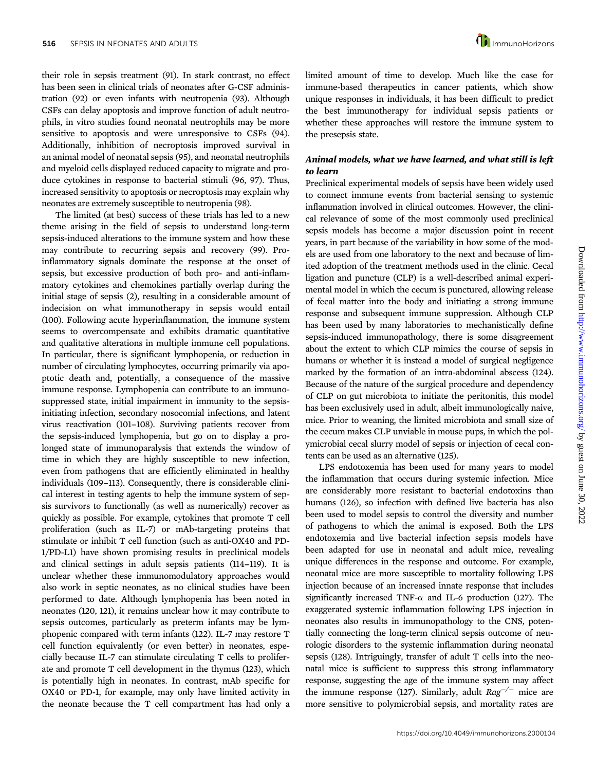their role in sepsis treatment (91). In stark contrast, no effect has been seen in clinical trials of neonates after G-CSF administration (92) or even infants with neutropenia (93). Although CSFs can delay apoptosis and improve function of adult neutrophils, in vitro studies found neonatal neutrophils may be more sensitive to apoptosis and were unresponsive to CSFs (94). Additionally, inhibition of necroptosis improved survival in an animal model of neonatal sepsis (95), and neonatal neutrophils and myeloid cells displayed reduced capacity to migrate and produce cytokines in response to bacterial stimuli (96, 97). Thus, increased sensitivity to apoptosis or necroptosis may explain why neonates are extremely susceptible to neutropenia (98).

The limited (at best) success of these trials has led to a new theme arising in the field of sepsis to understand long-term sepsis-induced alterations to the immune system and how these may contribute to recurring sepsis and recovery (99). Proinflammatory signals dominate the response at the onset of sepsis, but excessive production of both pro- and anti-inflammatory cytokines and chemokines partially overlap during the initial stage of sepsis (2), resulting in a considerable amount of indecision on what immunotherapy in sepsis would entail (100). Following acute hyperinflammation, the immune system seems to overcompensate and exhibits dramatic quantitative and qualitative alterations in multiple immune cell populations. In particular, there is significant lymphopenia, or reduction in number of circulating lymphocytes, occurring primarily via apoptotic death and, potentially, a consequence of the massive immune response. Lymphopenia can contribute to an immunosuppressed state, initial impairment in immunity to the sepsisinitiating infection, secondary nosocomial infections, and latent virus reactivation (101-108). Surviving patients recover from the sepsis-induced lymphopenia, but go on to display a prolonged state of immunoparalysis that extends the window of time in which they are highly susceptible to new infection, even from pathogens that are efficiently eliminated in healthy individuals (109-113). Consequently, there is considerable clinical interest in testing agents to help the immune system of sepsis survivors to functionally (as well as numerically) recover as quickly as possible. For example, cytokines that promote T cell proliferation (such as IL-7) or mAb-targeting proteins that stimulate or inhibit T cell function (such as anti-OX40 and PD-1/PD-L1) have shown promising results in preclinical models and clinical settings in adult sepsis patients (114–119). It is unclear whether these immunomodulatory approaches would also work in septic neonates, as no clinical studies have been performed to date. Although lymphopenia has been noted in neonates (120, 121), it remains unclear how it may contribute to sepsis outcomes, particularly as preterm infants may be lymphopenic compared with term infants (122). IL-7 may restore T cell function equivalently (or even better) in neonates, especially because IL-7 can stimulate circulating T cells to proliferate and promote T cell development in the thymus (123), which is potentially high in neonates. In contrast, mAb specific for OX40 or PD-1, for example, may only have limited activity in the neonate because the T cell compartment has had only a

limited amount of time to develop. Much like the case for immune-based therapeutics in cancer patients, which show unique responses in individuals, it has been difficult to predict the best immunotherapy for individual sepsis patients or whether these approaches will restore the immune system to the presepsis state.

## Animal models, what we have learned, and what still is left to learn

Preclinical experimental models of sepsis have been widely used to connect immune events from bacterial sensing to systemic inflammation involved in clinical outcomes. However, the clinical relevance of some of the most commonly used preclinical sepsis models has become a major discussion point in recent years, in part because of the variability in how some of the models are used from one laboratory to the next and because of limited adoption of the treatment methods used in the clinic. Cecal ligation and puncture (CLP) is a well-described animal experimental model in which the cecum is punctured, allowing release of fecal matter into the body and initiating a strong immune response and subsequent immune suppression. Although CLP has been used by many laboratories to mechanistically define sepsis-induced immunopathology, there is some disagreement about the extent to which CLP mimics the course of sepsis in humans or whether it is instead a model of surgical negligence marked by the formation of an intra-abdominal abscess (124). Because of the nature of the surgical procedure and dependency of CLP on gut microbiota to initiate the peritonitis, this model has been exclusively used in adult, albeit immunologically naive, mice. Prior to weaning, the limited microbiota and small size of the cecum makes CLP unviable in mouse pups, in which the polymicrobial cecal slurry model of sepsis or injection of cecal contents can be used as an alternative (125).

LPS endotoxemia has been used for many years to model the inflammation that occurs during systemic infection. Mice are considerably more resistant to bacterial endotoxins than humans (126), so infection with defined live bacteria has also been used to model sepsis to control the diversity and number of pathogens to which the animal is exposed. Both the LPS endotoxemia and live bacterial infection sepsis models have been adapted for use in neonatal and adult mice, revealing unique differences in the response and outcome. For example, neonatal mice are more susceptible to mortality following LPS injection because of an increased innate response that includes significantly increased TNF- $\alpha$  and IL-6 production (127). The exaggerated systemic inflammation following LPS injection in neonates also results in immunopathology to the CNS, potentially connecting the long-term clinical sepsis outcome of neurologic disorders to the systemic inflammation during neonatal sepsis (128). Intriguingly, transfer of adult T cells into the neonatal mice is sufficient to suppress this strong inflammatory response, suggesting the age of the immune system may affect the immune response (127). Similarly, adult  $Rag^{-/-}$  mice are more sensitive to polymicrobial sepsis, and mortality rates are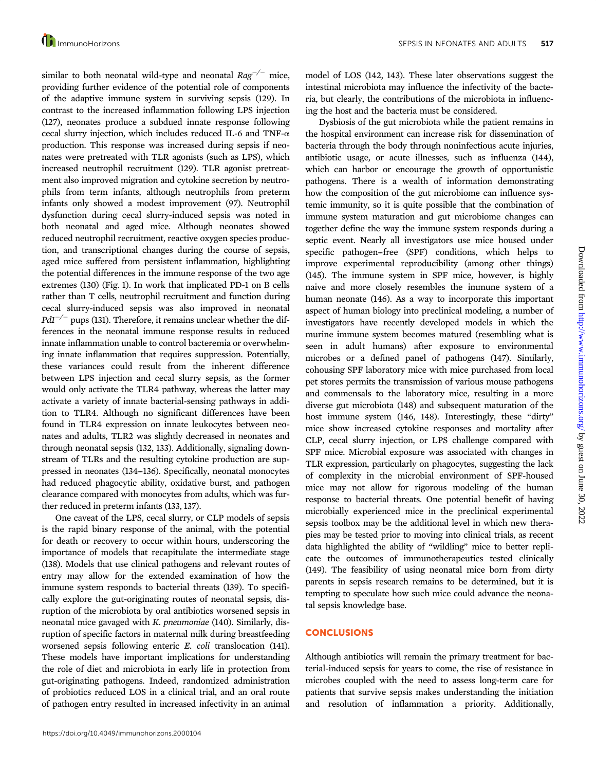similar to both neonatal wild-type and neonatal  $Rag^{-/-}$  mice, providing further evidence of the potential role of components of the adaptive immune system in surviving sepsis (129). In contrast to the increased inflammation following LPS injection (127), neonates produce a subdued innate response following cecal slurry injection, which includes reduced IL-6 and TNF- $\alpha$ production. This response was increased during sepsis if neonates were pretreated with TLR agonists (such as LPS), which increased neutrophil recruitment (129). TLR agonist pretreatment also improved migration and cytokine secretion by neutrophils from term infants, although neutrophils from preterm infants only showed a modest improvement (97). Neutrophil dysfunction during cecal slurry-induced sepsis was noted in both neonatal and aged mice. Although neonates showed reduced neutrophil recruitment, reactive oxygen species production, and transcriptional changes during the course of sepsis, aged mice suffered from persistent inflammation, highlighting the potential differences in the immune response of the two age extremes (130) (Fig. 1). In work that implicated PD-1 on B cells rather than T cells, neutrophil recruitment and function during cecal slurry-induced sepsis was also improved in neonatal  $PdI^{-/-}$  pups (131). Therefore, it remains unclear whether the differences in the neonatal immune response results in reduced innate inflammation unable to control bacteremia or overwhelming innate inflammation that requires suppression. Potentially, these variances could result from the inherent difference between LPS injection and cecal slurry sepsis, as the former would only activate the TLR4 pathway, whereas the latter may activate a variety of innate bacterial-sensing pathways in addition to TLR4. Although no significant differences have been found in TLR4 expression on innate leukocytes between neonates and adults, TLR2 was slightly decreased in neonates and through neonatal sepsis (132, 133). Additionally, signaling downstream of TLRs and the resulting cytokine production are suppressed in neonates (134-136). Specifically, neonatal monocytes had reduced phagocytic ability, oxidative burst, and pathogen clearance compared with monocytes from adults, which was further reduced in preterm infants (133, 137).

One caveat of the LPS, cecal slurry, or CLP models of sepsis is the rapid binary response of the animal, with the potential for death or recovery to occur within hours, underscoring the importance of models that recapitulate the intermediate stage (138). Models that use clinical pathogens and relevant routes of entry may allow for the extended examination of how the immune system responds to bacterial threats (139). To specifically explore the gut-originating routes of neonatal sepsis, disruption of the microbiota by oral antibiotics worsened sepsis in neonatal mice gavaged with *K. pneumoniae* (140). Similarly, disruption of specific factors in maternal milk during breastfeeding worsened sepsis following enteric E. coli translocation (141). These models have important implications for understanding the role of diet and microbiota in early life in protection from gut-originating pathogens. Indeed, randomized administration of probiotics reduced LOS in a clinical trial, and an oral route of pathogen entry resulted in increased infectivity in an animal

model of LOS (142, 143). These later observations suggest the intestinal microbiota may influence the infectivity of the bacteria, but clearly, the contributions of the microbiota in influencing the host and the bacteria must be considered.

Dysbiosis of the gut microbiota while the patient remains in the hospital environment can increase risk for dissemination of bacteria through the body through noninfectious acute injuries, antibiotic usage, or acute illnesses, such as influenza (144), which can harbor or encourage the growth of opportunistic pathogens. There is a wealth of information demonstrating how the composition of the gut microbiome can influence systemic immunity, so it is quite possible that the combination of immune system maturation and gut microbiome changes can together define the way the immune system responds during a septic event. Nearly all investigators use mice housed under specific pathogen-free (SPF) conditions, which helps to improve experimental reproducibility (among other things) (145). The immune system in SPF mice, however, is highly naive and more closely resembles the immune system of a human neonate (146). As a way to incorporate this important aspect of human biology into preclinical modeling, a number of investigators have recently developed models in which the murine immune system becomes matured (resembling what is seen in adult humans) after exposure to environmental microbes or a defined panel of pathogens (147). Similarly, cohousing SPF laboratory mice with mice purchased from local pet stores permits the transmission of various mouse pathogens and commensals to the laboratory mice, resulting in a more diverse gut microbiota (148) and subsequent maturation of the host immune system (146, 148). Interestingly, these "dirty" mice show increased cytokine responses and mortality after CLP, cecal slurry injection, or LPS challenge compared with SPF mice. Microbial exposure was associated with changes in TLR expression, particularly on phagocytes, suggesting the lack of complexity in the microbial environment of SPF-housed mice may not allow for rigorous modeling of the human response to bacterial threats. One potential benefit of having microbially experienced mice in the preclinical experimental sepsis toolbox may be the additional level in which new therapies may be tested prior to moving into clinical trials, as recent data highlighted the ability of "wildling" mice to better replicate the outcomes of immunotherapeutics tested clinically (149). The feasibility of using neonatal mice born from dirty parents in sepsis research remains to be determined, but it is tempting to speculate how such mice could advance the neonatal sepsis knowledge base.

## **CONCLUSIONS**

Although antibiotics will remain the primary treatment for bacterial-induced sepsis for years to come, the rise of resistance in microbes coupled with the need to assess long-term care for patients that survive sepsis makes understanding the initiation and resolution of inflammation a priority. Additionally,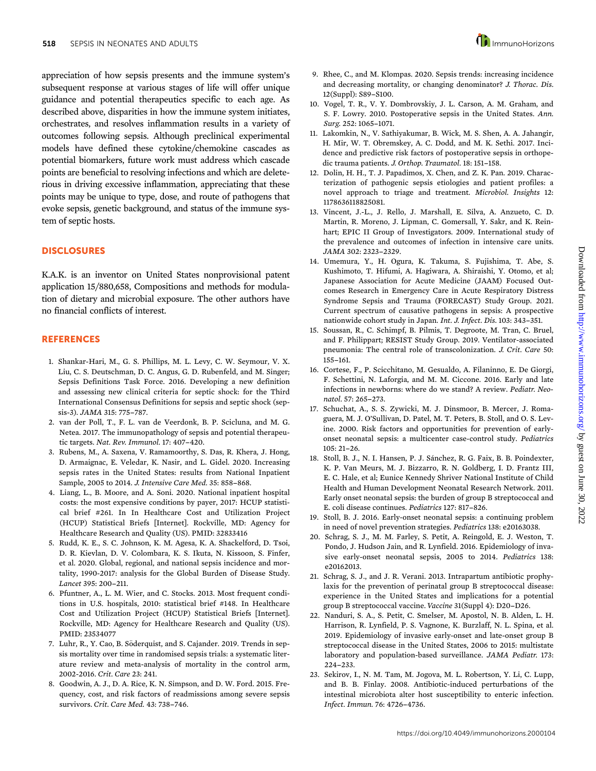appreciation of how sepsis presents and the immune system's subsequent response at various stages of life will offer unique guidance and potential therapeutics specific to each age. As described above, disparities in how the immune system initiates, orchestrates, and resolves inflammation results in a variety of outcomes following sepsis. Although preclinical experimental models have defined these cytokine/chemokine cascades as potential biomarkers, future work must address which cascade points are beneficial to resolving infections and which are deleterious in driving excessive inflammation, appreciating that these points may be unique to type, dose, and route of pathogens that evoke sepsis, genetic background, and status of the immune system of septic hosts.

#### **DISCLOSURES**

K.A.K. is an inventor on United States nonprovisional patent application 15/880,658, Compositions and methods for modulation of dietary and microbial exposure. The other authors have no financial conflicts of interest.

#### **REFERENCES**

- 1. Shankar-Hari, M., G. S. Phillips, M. L. Levy, C. W. Seymour, V. X. Liu, C. S. Deutschman, D. C. Angus, G. D. Rubenfeld, and M. Singer; Sepsis Definitions Task Force. 2016. Developing a new definition and assessing new clinical criteria for septic shock: for the Third International Consensus Definitions for sepsis and septic shock (sepsis-3). JAMA 315: 775-787.
- 2. van der Poll, T., F. L. van de Veerdonk, B. P. Scicluna, and M. G. Netea. 2017. The immunopathology of sepsis and potential therapeutic targets. Nat. Rev. Immunol. 17: 407-420.
- 3. Rubens, M., A. Saxena, V. Ramamoorthy, S. Das, R. Khera, J. Hong, D. Armaignac, E. Veledar, K. Nasir, and L. Gidel. 2020. Increasing sepsis rates in the United States: results from National Inpatient Sample, 2005 to 2014. J. Intensive Care Med. 35: 858-868.
- 4. Liang, L., B. Moore, and A. Soni. 2020. National inpatient hospital costs: the most expensive conditions by payer, 2017: HCUP statistical brief #261. In In Healthcare Cost and Utilization Project (HCUP) Statistical Briefs [Internet]. Rockville, MD: Agency for Healthcare Research and Quality (US). PMID: 32833416
- 5. Rudd, K. E., S. C. Johnson, K. M. Agesa, K. A. Shackelford, D. Tsoi, D. R. Kievlan, D. V. Colombara, K. S. Ikuta, N. Kissoon, S. Finfer, et al. 2020. Global, regional, and national sepsis incidence and mortality, 1990-2017: analysis for the Global Burden of Disease Study. Lancet 395: 200-211.
- 6. Pfuntner, A., L. M. Wier, and C. Stocks. 2013. Most frequent conditions in U.S. hospitals, 2010: statistical brief #148. In Healthcare Cost and Utilization Project (HCUP) Statistical Briefs [Internet]. Rockville, MD: Agency for Healthcare Research and Quality (US). PMID: 23534077
- 7. Luhr, R., Y. Cao, B. Söderquist, and S. Cajander. 2019. Trends in sepsis mortality over time in randomised sepsis trials: a systematic literature review and meta-analysis of mortality in the control arm, 2002-2016. Crit. Care 23: 241.
- 8. Goodwin, A. J., D. A. Rice, K. N. Simpson, and D. W. Ford. 2015. Frequency, cost, and risk factors of readmissions among severe sepsis survivors. Crit. Care Med. 43: 738-746.
- 9. Rhee, C., and M. Klompas. 2020. Sepsis trends: increasing incidence and decreasing mortality, or changing denominator? J. Thorac. Dis. 12(Suppl): S89-S100.
- 10. Vogel, T. R., V. Y. Dombrovskiy, J. L. Carson, A. M. Graham, and S. F. Lowry. 2010. Postoperative sepsis in the United States. Ann. Surg. 252: 1065-1071.
- 11. Lakomkin, N., V. Sathiyakumar, B. Wick, M. S. Shen, A. A. Jahangir, H. Mir, W. T. Obremskey, A. C. Dodd, and M. K. Sethi. 2017. Incidence and predictive risk factors of postoperative sepsis in orthopedic trauma patients. J. Orthop. Traumatol. 18: 151-158.
- 12. Dolin, H. H., T. J. Papadimos, X. Chen, and Z. K. Pan. 2019. Characterization of pathogenic sepsis etiologies and patient profiles: a novel approach to triage and treatment. Microbiol. Insights 12: 1178636118825081.
- 13. Vincent, J.-L., J. Rello, J. Marshall, E. Silva, A. Anzueto, C. D. Martin, R. Moreno, J. Lipman, C. Gomersall, Y. Sakr, and K. Reinhart; EPIC II Group of Investigators. 2009. International study of the prevalence and outcomes of infection in intensive care units. JAMA 302: 2323--2329.
- 14. Umemura, Y., H. Ogura, K. Takuma, S. Fujishima, T. Abe, S. Kushimoto, T. Hifumi, A. Hagiwara, A. Shiraishi, Y. Otomo, et al; Japanese Association for Acute Medicine (JAAM) Focused Outcomes Research in Emergency Care in Acute Respiratory Distress Syndrome Sepsis and Trauma (FORECAST) Study Group. 2021. Current spectrum of causative pathogens in sepsis: A prospective nationwide cohort study in Japan. Int. J. Infect. Dis. 103: 343-351.
- 15. Soussan, R., C. Schimpf, B. Pilmis, T. Degroote, M. Tran, C. Bruel, and F. Philippart; RESIST Study Group. 2019. Ventilator-associated pneumonia: The central role of transcolonization. J. Crit. Care 50: 155--161.
- 16. Cortese, F., P. Scicchitano, M. Gesualdo, A. Filaninno, E. De Giorgi, F. Schettini, N. Laforgia, and M. M. Ciccone. 2016. Early and late infections in newborns: where do we stand? A review. Pediatr. Neonatol. 57: 265-273.
- 17. Schuchat, A., S. S. Zywicki, M. J. Dinsmoor, B. Mercer, J. Romaguera, M. J. O'Sullivan, D. Patel, M. T. Peters, B. Stoll, and O. S. Levine. 2000. Risk factors and opportunities for prevention of earlyonset neonatal sepsis: a multicenter case-control study. Pediatrics  $105: 21 - 26.$
- 18. Stoll, B. J., N. I. Hansen, P. J. Sánchez, R. G. Faix, B. B. Poindexter, K. P. Van Meurs, M. J. Bizzarro, R. N. Goldberg, I. D. Frantz III, E. C. Hale, et al; Eunice Kennedy Shriver National Institute of Child Health and Human Development Neonatal Research Network. 2011. Early onset neonatal sepsis: the burden of group B streptococcal and E. coli disease continues. Pediatrics 127: 817-826.
- 19. Stoll, B. J. 2016. Early-onset neonatal sepsis: a continuing problem in need of novel prevention strategies. Pediatrics 138: e20163038.
- 20. Schrag, S. J., M. M. Farley, S. Petit, A. Reingold, E. J. Weston, T. Pondo, J. Hudson Jain, and R. Lynfield. 2016. Epidemiology of invasive early-onset neonatal sepsis, 2005 to 2014. Pediatrics 138: e20162013.
- 21. Schrag, S. J., and J. R. Verani. 2013. Intrapartum antibiotic prophylaxis for the prevention of perinatal group B streptococcal disease: experience in the United States and implications for a potential group B streptococcal vaccine. Vaccine 31(Suppl 4): D20-D26.
- 22. Nanduri, S. A., S. Petit, C. Smelser, M. Apostol, N. B. Alden, L. H. Harrison, R. Lynfield, P. S. Vagnone, K. Burzlaff, N. L. Spina, et al. 2019. Epidemiology of invasive early-onset and late-onset group B streptococcal disease in the United States, 2006 to 2015: multistate laboratory and population-based surveillance. JAMA Pediatr. 173:  $224 - 233$ .
- 23. Sekirov, I., N. M. Tam, M. Jogova, M. L. Robertson, Y. Li, C. Lupp, and B. B. Finlay. 2008. Antibiotic-induced perturbations of the intestinal microbiota alter host susceptibility to enteric infection. Infect. Immun. 76: 4726--4736.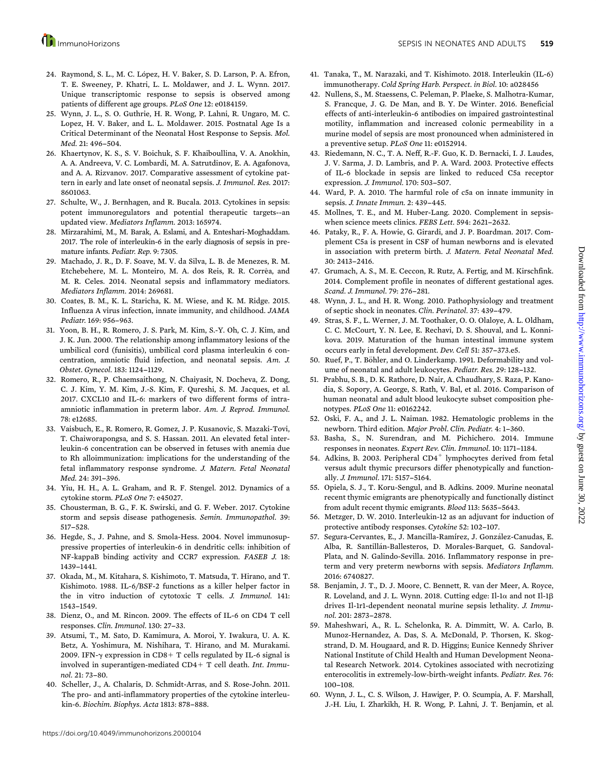- 24. Raymond, S. L., M. C. López, H. V. Baker, S. D. Larson, P. A. Efron, T. E. Sweeney, P. Khatri, L. L. Moldawer, and J. L. Wynn. 2017. Unique transcriptomic response to sepsis is observed among patients of different age groups. PLoS One 12: e0184159.
- 25. Wynn, J. L., S. O. Guthrie, H. R. Wong, P. Lahni, R. Ungaro, M. C. Lopez, H. V. Baker, and L. L. Moldawer. 2015. Postnatal Age Is a Critical Determinant of the Neonatal Host Response to Sepsis. Mol. Med. 21: 496-504.
- 26. Khaertynov, K. S., S. V. Boichuk, S. F. Khaiboullina, V. A. Anokhin, A. A. Andreeva, V. C. Lombardi, M. A. Satrutdinov, E. A. Agafonova, and A. A. Rizvanov. 2017. Comparative assessment of cytokine pattern in early and late onset of neonatal sepsis. J. Immunol. Res. 2017: 8601063.
- 27. Schulte, W., J. Bernhagen, and R. Bucala. 2013. Cytokines in sepsis: potent immunoregulators and potential therapeutic targets--an updated view. Mediators Inflamm. 2013: 165974.
- 28. Mirzarahimi, M., M. Barak, A. Eslami, and A. Enteshari-Moghaddam. 2017. The role of interleukin-6 in the early diagnosis of sepsis in premature infants. Pediatr. Rep. 9: 7305.
- 29. Machado, J. R., D. F. Soave, M. V. da Silva, L. B. de Menezes, R. M. Etchebehere, M. L. Monteiro, M. A. dos Reis, R. R. Corr^ea, and M. R. Celes. 2014. Neonatal sepsis and inflammatory mediators. Mediators Inflamm. 2014: 269681.
- 30. Coates, B. M., K. L. Staricha, K. M. Wiese, and K. M. Ridge. 2015. Influenza A virus infection, innate immunity, and childhood. JAMA Pediatr. 169: 956-963.
- 31. Yoon, B. H., R. Romero, J. S. Park, M. Kim, S.-Y. Oh, C. J. Kim, and J. K. Jun. 2000. The relationship among inflammatory lesions of the umbilical cord (funisitis), umbilical cord plasma interleukin 6 concentration, amniotic fluid infection, and neonatal sepsis. Am. J. Obstet. Gynecol. 183: 1124-1129.
- 32. Romero, R., P. Chaemsaithong, N. Chaiyasit, N. Docheva, Z. Dong, C. J. Kim, Y. M. Kim, J.-S. Kim, F. Qureshi, S. M. Jacques, et al. 2017. CXCL10 and IL-6: markers of two different forms of intraamniotic inflammation in preterm labor. Am. J. Reprod. Immunol. 78: e12685.
- 33. Vaisbuch, E., R. Romero, R. Gomez, J. P. Kusanovic, S. Mazaki-Tovi, T. Chaiworapongsa, and S. S. Hassan. 2011. An elevated fetal interleukin-6 concentration can be observed in fetuses with anemia due to Rh alloimmunization: implications for the understanding of the fetal inflammatory response syndrome. J. Matern. Fetal Neonatal Med. 24: 391-396.
- 34. Yiu, H. H., A. L. Graham, and R. F. Stengel. 2012. Dynamics of a cytokine storm. PLoS One 7: e45027.
- 35. Chousterman, B. G., F. K. Swirski, and G. F. Weber. 2017. Cytokine storm and sepsis disease pathogenesis. Semin. Immunopathol. 39: 517--528.
- 36. Hegde, S., J. Pahne, and S. Smola-Hess. 2004. Novel immunosuppressive properties of interleukin-6 in dendritic cells: inhibition of NF-kappaB binding activity and CCR7 expression. FASEB J. 18: 1439-1441.
- 37. Okada, M., M. Kitahara, S. Kishimoto, T. Matsuda, T. Hirano, and T. Kishimoto. 1988. IL-6/BSF-2 functions as a killer helper factor in the in vitro induction of cytotoxic T cells. J. Immunol. 141: 1543--1549.
- 38. Dienz, O., and M. Rincon. 2009. The effects of IL-6 on CD4 T cell responses. Clin. Immunol. 130: 27-33.
- 39. Atsumi, T., M. Sato, D. Kamimura, A. Moroi, Y. Iwakura, U. A. K. Betz, A. Yoshimura, M. Nishihara, T. Hirano, and M. Murakami. 2009. IFN- $\gamma$  expression in CD8+ T cells regulated by IL-6 signal is involved in superantigen-mediated CD4+ T cell death. Int. Immunol. 21: 73-80.
- 40. Scheller, J., A. Chalaris, D. Schmidt-Arras, and S. Rose-John. 2011. The pro- and anti-inflammatory properties of the cytokine interleukin-6. Biochim. Biophys. Acta 1813: 878--888.
- 41. Tanaka, T., M. Narazaki, and T. Kishimoto. 2018. Interleukin (IL-6) immunotherapy. Cold Spring Harb. Perspect. in Biol. 10: a028456
- 42. Nullens, S., M. Staessens, C. Peleman, P. Plaeke, S. Malhotra-Kumar, S. Francque, J. G. De Man, and B. Y. De Winter. 2016. Beneficial effects of anti-interleukin-6 antibodies on impaired gastrointestinal motility, inflammation and increased colonic permeability in a murine model of sepsis are most pronounced when administered in a preventive setup. PLoS One 11: e0152914.
- 43. Riedemann, N. C., T. A. Neff, R.-F. Guo, K. D. Bernacki, I. J. Laudes, J. V. Sarma, J. D. Lambris, and P. A. Ward. 2003. Protective effects of IL-6 blockade in sepsis are linked to reduced C5a receptor expression. J. Immunol. 170: 503--507.
- 44. Ward, P. A. 2010. The harmful role of c5a on innate immunity in sepsis. J. Innate Immun. 2: 439-445.
- 45. Mollnes, T. E., and M. Huber-Lang. 2020. Complement in sepsiswhen science meets clinics. FEBS Lett. 594: 2621-2632.
- 46. Pataky, R., F. A. Howie, G. Girardi, and J. P. Boardman. 2017. Complement C5a is present in CSF of human newborns and is elevated in association with preterm birth. J. Matern. Fetal Neonatal Med. 30: 2413--2416.
- 47. Grumach, A. S., M. E. Ceccon, R. Rutz, A. Fertig, and M. Kirschfink. 2014. Complement profile in neonates of different gestational ages. Scand. J. Immunol. 79: 276-281.
- 48. Wynn, J. L., and H. R. Wong. 2010. Pathophysiology and treatment of septic shock in neonates. Clin. Perinatol. 37: 439--479.
- 49. Stras, S. F., L. Werner, J. M. Toothaker, O. O. Olaloye, A. L. Oldham, C. C. McCourt, Y. N. Lee, E. Rechavi, D. S. Shouval, and L. Konnikova. 2019. Maturation of the human intestinal immune system occurs early in fetal development. Dev. Cell 51: 357-373.e5.
- 50. Ruef, P., T. Böhler, and O. Linderkamp. 1991. Deformability and volume of neonatal and adult leukocytes. Pediatr. Res. 29: 128-132.
- 51. Prabhu, S. B., D. K. Rathore, D. Nair, A. Chaudhary, S. Raza, P. Kanodia, S. Sopory, A. George, S. Rath, V. Bal, et al. 2016. Comparison of human neonatal and adult blood leukocyte subset composition phenotypes. PLoS One 11: e0162242.
- 52. Oski, F. A., and J. L. Naiman. 1982. Hematologic problems in the newborn. Third edition. Major Probl. Clin. Pediatr. 4: 1-360.
- 53. Basha, S., N. Surendran, and M. Pichichero. 2014. Immune responses in neonates. Expert Rev. Clin. Immunol. 10: 1171-1184.
- 54. Adkins, B. 2003. Peripheral  $CD4^+$  lymphocytes derived from fetal versus adult thymic precursors differ phenotypically and functionally. J. Immunol. 171: 5157-5164.
- 55. Opiela, S. J., T. Koru-Sengul, and B. Adkins. 2009. Murine neonatal recent thymic emigrants are phenotypically and functionally distinct from adult recent thymic emigrants. Blood 113: 5635-5643.
- 56. Metzger, D. W. 2010. Interleukin-12 as an adjuvant for induction of protective antibody responses. Cytokine 52: 102-107.
- 57. Segura-Cervantes, E., J. Mancilla-Ramírez, J. González-Canudas, E. Alba, R. Santillán-Ballesteros, D. Morales-Barquet, G. Sandoval-Plata, and N. Galindo-Sevilla. 2016. Inflammatory response in preterm and very preterm newborns with sepsis. Mediators Inflamm. 2016: 6740827.
- 58. Benjamin, J. T., D. J. Moore, C. Bennett, R. van der Meer, A. Royce, R. Loveland, and J. L. Wynn. 2018. Cutting edge: Il-1 $\alpha$  and not Il-1 $\beta$ drives Il-1r1-dependent neonatal murine sepsis lethality. J. Immunol. 201: 2873--2878.
- 59. Maheshwari, A., R. L. Schelonka, R. A. Dimmitt, W. A. Carlo, B. Munoz-Hernandez, A. Das, S. A. McDonald, P. Thorsen, K. Skogstrand, D. M. Hougaard, and R. D. Higgins; Eunice Kennedy Shriver National Institute of Child Health and Human Development Neonatal Research Network. 2014. Cytokines associated with necrotizing enterocolitis in extremely-low-birth-weight infants. Pediatr. Res. 76: 100--108.
- 60. Wynn, J. L., C. S. Wilson, J. Hawiger, P. O. Scumpia, A. F. Marshall, J.-H. Liu, I. Zharkikh, H. R. Wong, P. Lahni, J. T. Benjamin, et al.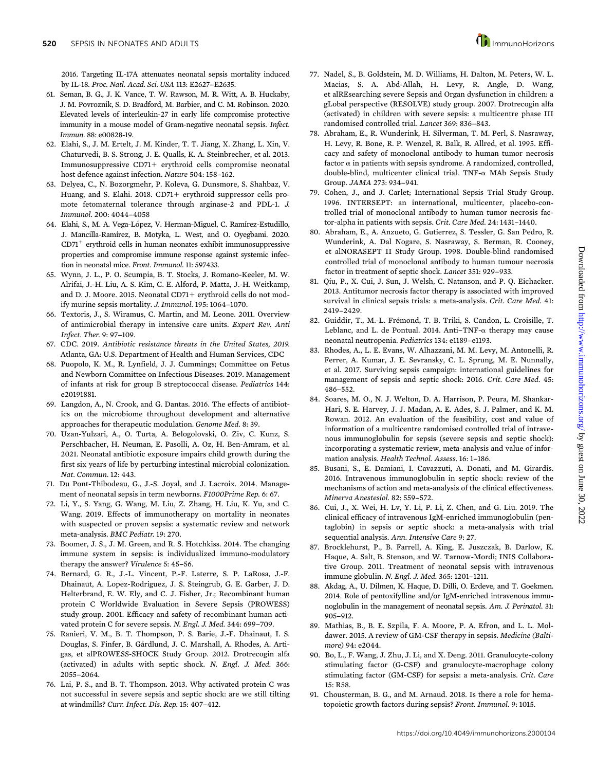2016. Targeting IL-17A attenuates neonatal sepsis mortality induced by IL-18. Proc. Natl. Acad. Sci. USA 113: E2627-E2635.

- 61. Seman, B. G., J. K. Vance, T. W. Rawson, M. R. Witt, A. B. Huckaby, J. M. Povroznik, S. D. Bradford, M. Barbier, and C. M. Robinson. 2020. Elevated levels of interleukin-27 in early life compromise protective immunity in a mouse model of Gram-negative neonatal sepsis. Infect. Immun. 88: e00828-19.
- 62. Elahi, S., J. M. Ertelt, J. M. Kinder, T. T. Jiang, X. Zhang, L. Xin, V. Chaturvedi, B. S. Strong, J. E. Qualls, K. A. Steinbrecher, et al. 2013. Immunosuppressive  $CD71+$  erythroid cells compromise neonatal host defence against infection. Nature 504: 158-162.
- 63. Delyea, C., N. Bozorgmehr, P. Koleva, G. Dunsmore, S. Shahbaz, V. Huang, and S. Elahi. 2018.  $CD71+$  erythroid suppressor cells promote fetomaternal tolerance through arginase-2 and PDL-1. J. Immunol. 200: 4044--4058
- 64. Elahi, S., M. A. Vega-López, V. Herman-Miguel, C. Ramírez-Estudillo, J. Mancilla-Ramírez, B. Motyka, L. West, and O. Oyegbami. 2020.  $CD71<sup>+</sup>$  erythroid cells in human neonates exhibit immunosuppressive properties and compromise immune response against systemic infection in neonatal mice. Front. Immunol. 11: 597433.
- 65. Wynn, J. L., P. O. Scumpia, B. T. Stocks, J. Romano-Keeler, M. W. Alrifai, J.-H. Liu, A. S. Kim, C. E. Alford, P. Matta, J.-H. Weitkamp, and D. J. Moore. 2015. Neonatal CD71+ erythroid cells do not modify murine sepsis mortality. J. Immunol. 195: 1064-1070.
- 66. Textoris, J., S. Wiramus, C. Martin, and M. Leone. 2011. Overview of antimicrobial therapy in intensive care units. Expert Rev. Anti  $Infect.$  Ther.  $9:97-109$ .
- 67. CDC. 2019. Antibiotic resistance threats in the United States, 2019. Atlanta, GA: U.S. Department of Health and Human Services, CDC
- 68. Puopolo, K. M., R. Lynfield, J. J. Cummings; Committee on Fetus and Newborn Committee on Infectious Diseases. 2019. Management of infants at risk for group B streptococcal disease. Pediatrics 144: e20191881.
- 69. Langdon, A., N. Crook, and G. Dantas. 2016. The effects of antibiotics on the microbiome throughout development and alternative approaches for therapeutic modulation. Genome Med. 8: 39.
- 70. Uzan-Yulzari, A., O. Turta, A. Belogolovski, O. Ziv, C. Kunz, S. Perschbacher, H. Neuman, E. Pasolli, A. Oz, H. Ben-Amram, et al. 2021. Neonatal antibiotic exposure impairs child growth during the first six years of life by perturbing intestinal microbial colonization. Nat. Commun. 12: 443.
- 71. Du Pont-Thibodeau, G., J.-S. Joyal, and J. Lacroix. 2014. Management of neonatal sepsis in term newborns. F1000Prime Rep. 6: 67.
- 72. Li, Y., S. Yang, G. Wang, M. Liu, Z. Zhang, H. Liu, K. Yu, and C. Wang. 2019. Effects of immunotherapy on mortality in neonates with suspected or proven sepsis: a systematic review and network meta-analysis. BMC Pediatr. 19: 270.
- 73. Boomer, J. S., J. M. Green, and R. S. Hotchkiss. 2014. The changing immune system in sepsis: is individualized immuno-modulatory therapy the answer? Virulence 5: 45-56.
- 74. Bernard, G. R., J.-L. Vincent, P.-F. Laterre, S. P. LaRosa, J.-F. Dhainaut, A. Lopez-Rodriguez, J. S. Steingrub, G. E. Garber, J. D. Helterbrand, E. W. Ely, and C. J. Fisher, Jr.; Recombinant human protein C Worldwide Evaluation in Severe Sepsis (PROWESS) study group. 2001. Efficacy and safety of recombinant human activated protein C for severe sepsis. N. Engl. J. Med. 344: 699-709.
- 75. Ranieri, V. M., B. T. Thompson, P. S. Barie, J.-F. Dhainaut, I. S. Douglas, S. Finfer, B. Gårdlund, J. C. Marshall, A. Rhodes, A. Artigas, et alPROWESS-SHOCK Study Group. 2012. Drotrecogin alfa (activated) in adults with septic shock. N. Engl. J. Med. 366: 2055--2064.
- 76. Lai, P. S., and B. T. Thompson. 2013. Why activated protein C was not successful in severe sepsis and septic shock: are we still tilting at windmills? Curr. Infect. Dis. Rep. 15: 407-412.
- 77. Nadel, S., B. Goldstein, M. D. Williams, H. Dalton, M. Peters, W. L. Macias, S. A. Abd-Allah, H. Levy, R. Angle, D. Wang, et alREsearching severe Sepsis and Organ dysfunction in children: a gLobal perspective (RESOLVE) study group. 2007. Drotrecogin alfa (activated) in children with severe sepsis: a multicentre phase III randomised controlled trial. Lancet 369: 836-843.
- 78. Abraham, E., R. Wunderink, H. Silverman, T. M. Perl, S. Nasraway, H. Levy, R. Bone, R. P. Wenzel, R. Balk, R. Allred, et al. 1995. Efficacy and safety of monoclonal antibody to human tumor necrosis factor  $\alpha$  in patients with sepsis syndrome. A randomized, controlled, double-blind, multicenter clinical trial. TNF- $\alpha$  MAb Sepsis Study Group. JAMA 273: 934-941.
- 79. Cohen, J., and J. Carlet; International Sepsis Trial Study Group. 1996. INTERSEPT: an international, multicenter, placebo-controlled trial of monoclonal antibody to human tumor necrosis factor-alpha in patients with sepsis. Crit. Care Med. 24: 1431--1440.
- 80. Abraham, E., A. Anzueto, G. Gutierrez, S. Tessler, G. San Pedro, R. Wunderink, A. Dal Nogare, S. Nasraway, S. Berman, R. Cooney, et alNORASEPT II Study Group. 1998. Double-blind randomised controlled trial of monoclonal antibody to human tumour necrosis factor in treatment of septic shock. Lancet 351: 929-933.
- 81. Qiu, P., X. Cui, J. Sun, J. Welsh, C. Natanson, and P. Q. Eichacker. 2013. Antitumor necrosis factor therapy is associated with improved survival in clinical sepsis trials: a meta-analysis. Crit. Care Med. 41: 2419--2429.
- 82. Guiddir, T., M.-L. Frémond, T. B. Triki, S. Candon, L. Croisille, T. Leblanc, and L. de Pontual. 2014. Anti-TNF- $\alpha$  therapy may cause neonatal neutropenia. Pediatrics 134: e1189-e1193.
- 83. Rhodes, A., L. E. Evans, W. Alhazzani, M. M. Levy, M. Antonelli, R. Ferrer, A. Kumar, J. E. Sevransky, C. L. Sprung, M. E. Nunnally, et al. 2017. Surviving sepsis campaign: international guidelines for management of sepsis and septic shock: 2016. Crit. Care Med. 45: 486--552.
- 84. Soares, M. O., N. J. Welton, D. A. Harrison, P. Peura, M. Shankar-Hari, S. E. Harvey, J. J. Madan, A. E. Ades, S. J. Palmer, and K. M. Rowan. 2012. An evaluation of the feasibility, cost and value of information of a multicentre randomised controlled trial of intravenous immunoglobulin for sepsis (severe sepsis and septic shock): incorporating a systematic review, meta-analysis and value of information analysis. Health Technol. Assess. 16: 1-186.
- 85. Busani, S., E. Damiani, I. Cavazzuti, A. Donati, and M. Girardis. 2016. Intravenous immunoglobulin in septic shock: review of the mechanisms of action and meta-analysis of the clinical effectiveness. Minerva Anestesiol. 82: 559-572.
- 86. Cui, J., X. Wei, H. Lv, Y. Li, P. Li, Z. Chen, and G. Liu. 2019. The clinical efficacy of intravenous IgM-enriched immunoglobulin (pentaglobin) in sepsis or septic shock: a meta-analysis with trial sequential analysis. Ann. Intensive Care 9: 27.
- 87. Brocklehurst, P., B. Farrell, A. King, E. Juszczak, B. Darlow, K. Haque, A. Salt, B. Stenson, and W. Tarnow-Mordi; INIS Collaborative Group. 2011. Treatment of neonatal sepsis with intravenous immune globulin. N. Engl. J. Med. 365: 1201-1211.
- 88. Akdag, A., U. Dilmen, K. Haque, D. Dilli, O. Erdeve, and T. Goekmen. 2014. Role of pentoxifylline and/or IgM-enriched intravenous immunoglobulin in the management of neonatal sepsis. Am. J. Perinatol. 31: 905-912.
- 89. Mathias, B., B. E. Szpila, F. A. Moore, P. A. Efron, and L. L. Moldawer. 2015. A review of GM-CSF therapy in sepsis. Medicine (Baltimore) 94: e2044.
- 90. Bo, L., F. Wang, J. Zhu, J. Li, and X. Deng. 2011. Granulocyte-colony stimulating factor (G-CSF) and granulocyte-macrophage colony stimulating factor (GM-CSF) for sepsis: a meta-analysis. Crit. Care 15: R58.
- 91. Chousterman, B. G., and M. Arnaud. 2018. Is there a role for hematopoietic growth factors during sepsis? Front. Immunol. 9: 1015.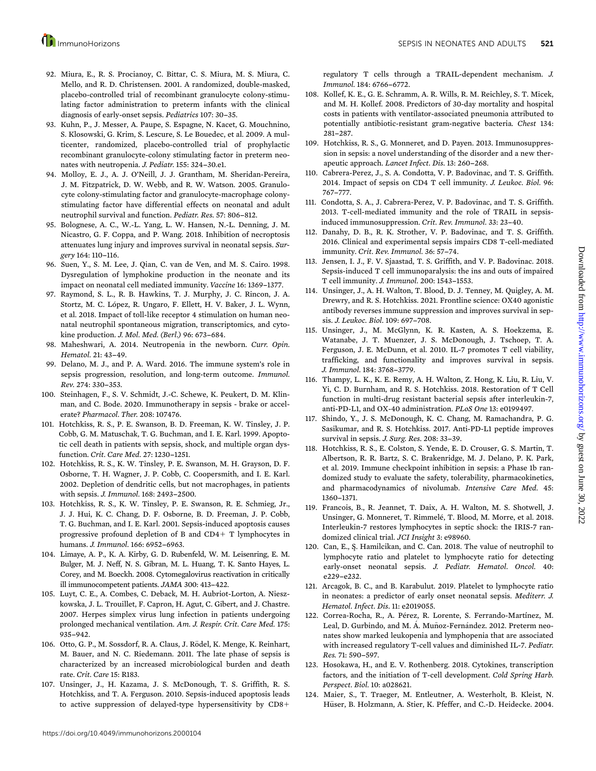- 92. Miura, E., R. S. Procianoy, C. Bittar, C. S. Miura, M. S. Miura, C. Mello, and R. D. Christensen. 2001. A randomized, double-masked, placebo-controlled trial of recombinant granulocyte colony-stimulating factor administration to preterm infants with the clinical diagnosis of early-onset sepsis. Pediatrics 107: 30-35.
- 93. Kuhn, P., J. Messer, A. Paupe, S. Espagne, N. Kacet, G. Mouchnino, S. Klosowski, G. Krim, S. Lescure, S. Le Bouedec, et al. 2009. A multicenter, randomized, placebo-controlled trial of prophylactic recombinant granulocyte-colony stimulating factor in preterm neonates with neutropenia. J. Pediatr. 155: 324-30.e1.
- 94. Molloy, E. J., A. J. O'Neill, J. J. Grantham, M. Sheridan-Pereira, J. M. Fitzpatrick, D. W. Webb, and R. W. Watson. 2005. Granulocyte colony-stimulating factor and granulocyte-macrophage colonystimulating factor have differential effects on neonatal and adult neutrophil survival and function. Pediatr. Res. 57: 806-812.
- 95. Bolognese, A. C., W.-L. Yang, L. W. Hansen, N.-L. Denning, J. M. Nicastro, G. F. Coppa, and P. Wang. 2018. Inhibition of necroptosis attenuates lung injury and improves survival in neonatal sepsis. Surgery 164: 110-116.
- 96. Suen, Y., S. M. Lee, J. Qian, C. van de Ven, and M. S. Cairo. 1998. Dysregulation of lymphokine production in the neonate and its impact on neonatal cell mediated immunity. Vaccine 16: 1369-1377.
- 97. Raymond, S. L., R. B. Hawkins, T. J. Murphy, J. C. Rincon, J. A. Stortz, M. C. López, R. Ungaro, F. Ellett, H. V. Baker, J. L. Wynn, et al. 2018. Impact of toll-like receptor 4 stimulation on human neonatal neutrophil spontaneous migration, transcriptomics, and cytokine production. *J. Mol. Med. (Berl.)* 96: 673-684.
- 98. Maheshwari, A. 2014. Neutropenia in the newborn. Curr. Opin. Hematol. 21: 43-49.
- 99. Delano, M. J., and P. A. Ward. 2016. The immune system's role in sepsis progression, resolution, and long-term outcome. Immunol. Rev. 274: 330-353.
- 100. Steinhagen, F., S. V. Schmidt, J.-C. Schewe, K. Peukert, D. M. Klinman, and C. Bode. 2020. Immunotherapy in sepsis - brake or accelerate? Pharmacol. Ther. 208: 107476.
- 101. Hotchkiss, R. S., P. E. Swanson, B. D. Freeman, K. W. Tinsley, J. P. Cobb, G. M. Matuschak, T. G. Buchman, and I. E. Karl. 1999. Apoptotic cell death in patients with sepsis, shock, and multiple organ dysfunction. Crit. Care Med. 27: 1230--1251.
- 102. Hotchkiss, R. S., K. W. Tinsley, P. E. Swanson, M. H. Grayson, D. F. Osborne, T. H. Wagner, J. P. Cobb, C. Coopersmith, and I. E. Karl. 2002. Depletion of dendritic cells, but not macrophages, in patients with sepsis. *J. Immunol*. 168: 2493-2500.
- 103. Hotchkiss, R. S., K. W. Tinsley, P. E. Swanson, R. E. Schmieg, Jr., J. J. Hui, K. C. Chang, D. F. Osborne, B. D. Freeman, J. P. Cobb, T. G. Buchman, and I. E. Karl. 2001. Sepsis-induced apoptosis causes progressive profound depletion of B and  $CD4+T$  lymphocytes in humans. J. Immunol. 166: 6952-6963.
- 104. Limaye, A. P., K. A. Kirby, G. D. Rubenfeld, W. M. Leisenring, E. M. Bulger, M. J. Neff, N. S. Gibran, M. L. Huang, T. K. Santo Hayes, L. Corey, and M. Boeckh. 2008. Cytomegalovirus reactivation in critically ill immunocompetent patients. JAMA 300: 413--422.
- 105. Luyt, C. E., A. Combes, C. Deback, M. H. Aubriot-Lorton, A. Nieszkowska, J. L. Trouillet, F. Capron, H. Agut, C. Gibert, and J. Chastre. 2007. Herpes simplex virus lung infection in patients undergoing prolonged mechanical ventilation. Am. J. Respir. Crit. Care Med. 175: 935-942.
- 106. Otto, G. P., M. Sossdorf, R. A. Claus, J. Rödel, K. Menge, K. Reinhart, M. Bauer, and N. C. Riedemann. 2011. The late phase of sepsis is characterized by an increased microbiological burden and death rate. Crit. Care 15: R183.
- 107. Unsinger, J., H. Kazama, J. S. McDonough, T. S. Griffith, R. S. Hotchkiss, and T. A. Ferguson. 2010. Sepsis-induced apoptosis leads to active suppression of delayed-type hypersensitivity by  $CD8+$
- 108. Kollef, K. E., G. E. Schramm, A. R. Wills, R. M. Reichley, S. T. Micek, and M. H. Kollef. 2008. Predictors of 30-day mortality and hospital costs in patients with ventilator-associated pneumonia attributed to potentially antibiotic-resistant gram-negative bacteria. Chest 134: 281-287.
- 109. Hotchkiss, R. S., G. Monneret, and D. Payen. 2013. Immunosuppression in sepsis: a novel understanding of the disorder and a new therapeutic approach. Lancet Infect. Dis. 13: 260-268.
- 110. Cabrera-Perez, J., S. A. Condotta, V. P. Badovinac, and T. S. Griffith. 2014. Impact of sepsis on CD4 T cell immunity. J. Leukoc. Biol. 96: 767--777.
- 111. Condotta, S. A., J. Cabrera-Perez, V. P. Badovinac, and T. S. Griffith. 2013. T-cell-mediated immunity and the role of TRAIL in sepsisinduced immunosuppression. Crit. Rev. Immunol. 33: 23--40.
- 112. Danahy, D. B., R. K. Strother, V. P. Badovinac, and T. S. Griffith. 2016. Clinical and experimental sepsis impairs CD8 T-cell-mediated immunity. Crit. Rev. Immunol. 36: 57-74.
- 113. Jensen, I. J., F. V. Sjaastad, T. S. Griffith, and V. P. Badovinac. 2018. Sepsis-induced T cell immunoparalysis: the ins and outs of impaired T cell immunity. J. Immunol. 200: 1543--1553.
- 114. Unsinger, J., A. H. Walton, T. Blood, D. J. Tenney, M. Quigley, A. M. Drewry, and R. S. Hotchkiss. 2021. Frontline science: OX40 agonistic antibody reverses immune suppression and improves survival in sepsis. J. Leukoc. Biol. 109: 697--708.
- 115. Unsinger, J., M. McGlynn, K. R. Kasten, A. S. Hoekzema, E. Watanabe, J. T. Muenzer, J. S. McDonough, J. Tschoep, T. A. Ferguson, J. E. McDunn, et al. 2010. IL-7 promotes T cell viability, trafficking, and functionality and improves survival in sepsis. J. Immunol. 184: 3768--3779.
- 116. Thampy, L. K., K. E. Remy, A. H. Walton, Z. Hong, K. Liu, R. Liu, V. Yi, C. D. Burnham, and R. S. Hotchkiss. 2018. Restoration of T Cell function in multi-drug resistant bacterial sepsis after interleukin-7, anti-PD-L1, and OX-40 administration. PLoS One 13: e0199497.
- 117. Shindo, Y., J. S. McDonough, K. C. Chang, M. Ramachandra, P. G. Sasikumar, and R. S. Hotchkiss. 2017. Anti-PD-L1 peptide improves survival in sepsis. J. Surg. Res. 208: 33-39.
- 118. Hotchkiss, R. S., E. Colston, S. Yende, E. D. Crouser, G. S. Martin, T. Albertson, R. R. Bartz, S. C. Brakenridge, M. J. Delano, P. K. Park, et al. 2019. Immune checkpoint inhibition in sepsis: a Phase 1b randomized study to evaluate the safety, tolerability, pharmacokinetics, and pharmacodynamics of nivolumab. Intensive Care Med. 45: 1360-1371.
- 119. Francois, B., R. Jeannet, T. Daix, A. H. Walton, M. S. Shotwell, J. Unsinger, G. Monneret, T. Rimmelé, T. Blood, M. Morre, et al. 2018. Interleukin-7 restores lymphocytes in septic shock: the IRIS-7 randomized clinical trial. JCI Insight 3: e98960.
- 120. Can, E., S¸. Hamilcikan, and C. Can. 2018. The value of neutrophil to lymphocyte ratio and platelet to lymphocyte ratio for detecting early-onset neonatal sepsis. J. Pediatr. Hematol. Oncol. 40:  $e229 - e232$ .
- 121. Arcagok, B. C., and B. Karabulut. 2019. Platelet to lymphocyte ratio in neonates: a predictor of early onset neonatal sepsis. Mediterr. J. Hematol. Infect. Dis. 11: e2019055.
- 122. Correa-Rocha, R., A. Pérez, R. Lorente, S. Ferrando-Martínez, M. Leal, D. Gurbindo, and M. Á. Muñoz-Fernández. 2012. Preterm neonates show marked leukopenia and lymphopenia that are associated with increased regulatory T-cell values and diminished IL-7. Pediatr. Res. 71: 590-597.
- 123. Hosokawa, H., and E. V. Rothenberg. 2018. Cytokines, transcription factors, and the initiation of T-cell development. Cold Spring Harb. Perspect. Biol. 10: a028621.
- 124. Maier, S., T. Traeger, M. Entleutner, A. Westerholt, B. Kleist, N. Hüser, B. Holzmann, A. Stier, K. Pfeffer, and C.-D. Heidecke. 2004.